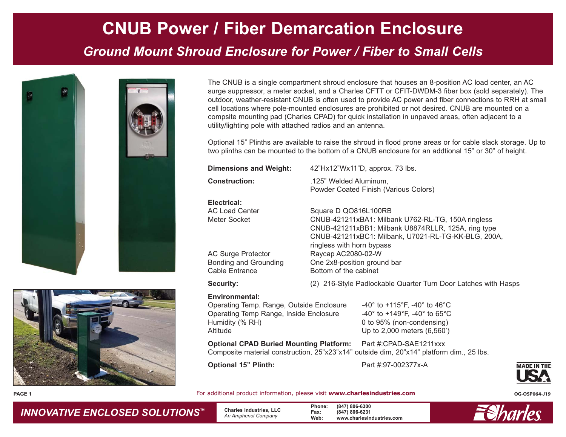# **CNUB Power / Fiber Demarcation Enclosure**

### *Ground Mount Shroud Enclosure for Power / Fiber to Small Cells*





The CNUB is a single compartment shroud enclosure that houses an 8-position AC load center, an AC surge suppressor, a meter socket, and a Charles CFTT or CFIT-DWDM-3 fiber box (sold separately). The outdoor, weather-resistant CNUB is often used to provide AC power and fiber connections to RRH at small cell locations where pole-mounted enclosures are prohibited or not desired. CNUB are mounted on a compsite mounting pad (Charles CPAD) for quick installation in unpaved areas, often adjacent to a utility/lighting pole with attached radios and an antenna.

Optional 15" Plinths are available to raise the shroud in flood prone areas or for cable slack storage. Up to two plinths can be mounted to the bottom of a CNUB enclosure for an addtional 15" or 30" of height.

| <b>Dimensions and Weight:</b> | 42"Hx12"Wx11"D, approx. 73 lbs.                                 |
|-------------------------------|-----------------------------------------------------------------|
| <b>Construction:</b>          | .125" Welded Aluminum,<br>Powder Coated Finish (Various Colors) |
| Electrical:                   |                                                                 |
| <b>AC Load Center</b>         | Square D QO816L100RB                                            |
| Meter Socket                  | CNUB-421211xBA1: Milbank U762-RL-TG, 150A ringless              |
|                               | CNUB-421211xBB1: Milbank U8874RLLR, 125A, ring type             |
|                               | CNUB-421211xBC1: Milbank, U7021-RL-TG-KK-BLG, 200A,             |
|                               | ringless with horn bypass                                       |
| <b>AC Surge Protector</b>     | Raycap AC2080-02-W                                              |
| Bonding and Grounding         | One 2x8-position ground bar                                     |
| Cable Entrance                | Bottom of the cabinet                                           |

**Security:** (2) 216-Style Padlockable Quarter Turn Door Latches with Hasps

#### **Environmental:**

Operating Temp. Range, Outside Enclosure -40° to +115°F, -40° to 46°C Operating Temp Range, Inside Enclosure -40° to +149°F, -40° to 65°C Humidity (% RH)  $0$  to 95% (non-condensing) Altitude Up to 2,000 meters (6,560')

**Optional CPAD Buried Mounting Platform:** Part #:CPAD-SAE1211xxx Composite material construction, 25"x23"x14" outside dim, 20"x14" platform dim., 25 lbs.

**Optional 15"** Plinth: Part #:97-002377x-A



**PAGE 1**

For additional product information, please visit **www.charlesindustries.com CG-OSP064-J19** 

*INNOVATIVE ENCLOSED SOLUTIONS ™*

 **Charles Industries, LLC** *An Amphenol Company*

**Phone: (847) 806-6300 Fax: (847) 806-6231 Web: www.charlesindustries.com**